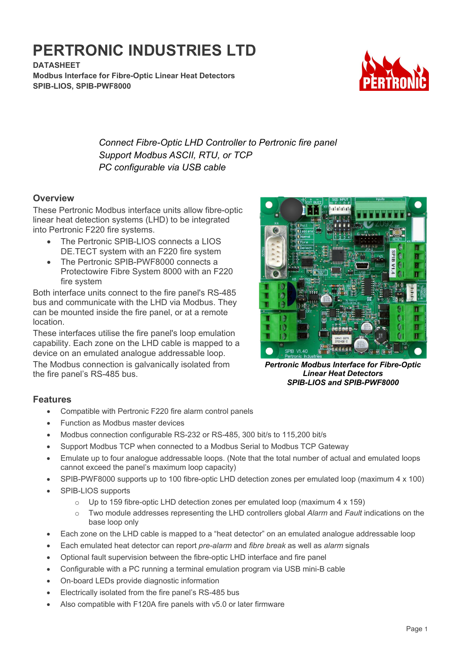# **PERTRONIC INDUSTRIES LTD**

**DATASHEET Modbus Interface for Fibre-Optic Linear Heat Detectors SPIB-LIOS, SPIB-PWF8000**



*Connect Fibre-Optic LHD Controller to Pertronic fire panel Support Modbus ASCII, RTU, or TCP PC configurable via USB cable*

#### **Overview**

These Pertronic Modbus interface units allow fibre-optic linear heat detection systems (LHD) to be integrated into Pertronic F220 fire systems.

- The Pertronic SPIB-LIOS connects a LIOS DE.TECT system with an F220 fire system
- The Pertronic SPIB-PWF8000 connects a Protectowire Fibre System 8000 with an F220 fire system

Both interface units connect to the fire panel's RS-485 bus and communicate with the LHD via Modbus. They can be mounted inside the fire panel, or at a remote location.

These interfaces utilise the fire panel's loop emulation capability. Each zone on the LHD cable is mapped to a device on an emulated analogue addressable loop.

The Modbus connection is galvanically isolated from the fire panel's RS-485 bus.

# П T П T П М п п M,

*Pertronic Modbus Interface for Fibre-Optic Linear Heat Detectors SPIB-LIOS and SPIB-PWF8000*

## **Features**

- Compatible with Pertronic F220 fire alarm control panels
- Function as Modbus master devices
- Modbus connection configurable RS-232 or RS-485, 300 bit/s to 115,200 bit/s
- Support Modbus TCP when connected to a Modbus Serial to Modbus TCP Gateway
- Emulate up to four analogue addressable loops. (Note that the total number of actual and emulated loops cannot exceed the panel's maximum loop capacity)
- SPIB-PWF8000 supports up to 100 fibre-optic LHD detection zones per emulated loop (maximum 4 x 100)
- SPIB-LIOS supports
	- $\circ$  Up to 159 fibre-optic LHD detection zones per emulated loop (maximum 4 x 159)
	- o Two module addresses representing the LHD controllers global *Alarm* and *Fault* indications on the base loop only
- Each zone on the LHD cable is mapped to a "heat detector" on an emulated analogue addressable loop
- Each emulated heat detector can report *pre-alarm* and *fibre break* as well as *alarm* signals
- Optional fault supervision between the fibre-optic LHD interface and fire panel
- Configurable with a PC running a terminal emulation program via USB mini-B cable
- On-board LEDs provide diagnostic information
- Electrically isolated from the fire panel's RS-485 bus
- Also compatible with F120A fire panels with v5.0 or later firmware